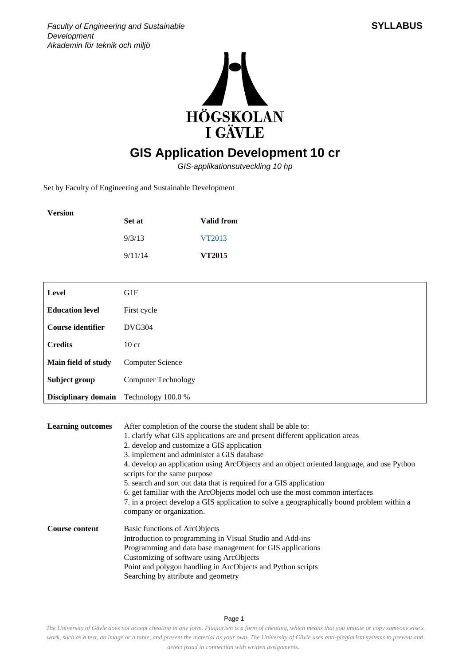



## **GIS Application Development 10 cr**

GIS-applikationsutveckling 10 hp

Set by Faculty of Engineering and Sustainable Development

| <b>Version</b> | Set at  | Valid from    |
|----------------|---------|---------------|
|                | 9/3/13  | VT2013        |
|                | 9/11/14 | <b>VT2015</b> |

| Level                  | G1F                        |
|------------------------|----------------------------|
| <b>Education level</b> | First cycle                |
| Course identifier      | <b>DVG304</b>              |
| <b>Credits</b>         | $10$ cr                    |
| Main field of study    | <b>Computer Science</b>    |
| Subject group          | <b>Computer Technology</b> |
| Disciplinary domain    | Technology 100.0 %         |

| <b>Learning outcomes</b> | After completion of the course the student shall be able to:<br>1. clarify what GIS applications are and present different application areas<br>2. develop and customize a GIS application<br>3. implement and administer a GIS database<br>4. develop an application using ArcObjects and an object oriented language, and use Python<br>scripts for the same purpose<br>5. search and sort out data that is required for a GIS application<br>6. get familiar with the ArcObjects model och use the most common interfaces<br>7. in a project develop a GIS application to solve a geographically bound problem within a<br>company or organization. |
|--------------------------|--------------------------------------------------------------------------------------------------------------------------------------------------------------------------------------------------------------------------------------------------------------------------------------------------------------------------------------------------------------------------------------------------------------------------------------------------------------------------------------------------------------------------------------------------------------------------------------------------------------------------------------------------------|
| <b>Course content</b>    | Basic functions of ArcObjects<br>Introduction to programming in Visual Studio and Add-ins<br>Programming and data base management for GIS applications<br>Customizing of software using ArcObjects<br>Point and polygon handling in ArcObjects and Python scripts<br>Searching by attribute and geometry                                                                                                                                                                                                                                                                                                                                               |

Page 1

*The University of Gävle does not accept cheating in any form. Plagiarism is a form of cheating, which means that you imitate or copy someone else's work, such as a text, an image or a table, and present the material as your own. The University of Gävle uses anti-plagiarism systems to prevent and detect fraud in connection with written assignments.*